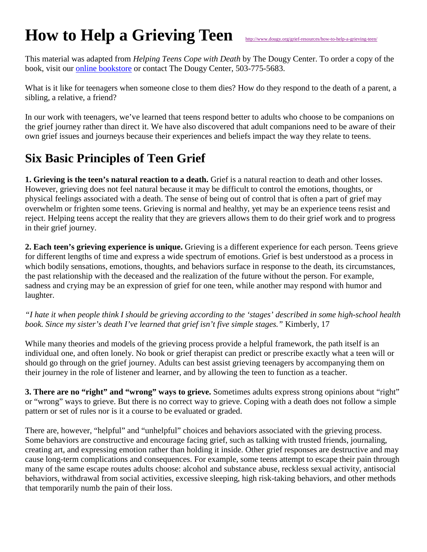## **How to Help a Grieving Teen**

This material was adapted from *Helping Teens Cope with Death* by The Dougy Center. To order a copy of the book, visit our [online bookstore](http://www.dougy.org/books-dvds/books/helping-teens-cope-with-death/88/) or contact The Dougy Center, 503-775-5683.

What is it like for teenagers when someone close to them dies? How do they respond to the death of a parent, a sibling, a relative, a friend?

In our work with teenagers, we've learned that teens respond better to adults who choose to be companions on the grief journey rather than direct it. We have also discovered that adult companions need to be aware of their own grief issues and journeys because their experiences and beliefs impact the way they relate to teens.

## **Six Basic Principles of Teen Grief**

**1. Grieving is the teen's natural reaction to a death.** Grief is a natural reaction to death and other losses. However, grieving does not feel natural because it may be difficult to control the emotions, thoughts, or physical feelings associated with a death. The sense of being out of control that is often a part of grief may overwhelm or frighten some teens. Grieving is normal and healthy, yet may be an experience teens resist and reject. Helping teens accept the reality that they are grievers allows them to do their grief work and to progress in their grief journey.

**2. Each teen's grieving experience is unique.** Grieving is a different experience for each person. Teens grieve for different lengths of time and express a wide spectrum of emotions. Grief is best understood as a process in which bodily sensations, emotions, thoughts, and behaviors surface in response to the death, its circumstances, the past relationship with the deceased and the realization of the future without the person. For example, sadness and crying may be an expression of grief for one teen, while another may respond with humor and laughter.

*"I hate it when people think I should be grieving according to the 'stages' described in some high-school health book. Since my sister's death I've learned that grief isn't five simple stages."* Kimberly, 17

While many theories and models of the grieving process provide a helpful framework, the path itself is an individual one, and often lonely. No book or grief therapist can predict or prescribe exactly what a teen will or should go through on the grief journey. Adults can best assist grieving teenagers by accompanying them on their journey in the role of listener and learner, and by allowing the teen to function as a teacher.

**3. There are no "right" and "wrong" ways to grieve.** Sometimes adults express strong opinions about "right" or "wrong" ways to grieve. But there is no correct way to grieve. Coping with a death does not follow a simple pattern or set of rules nor is it a course to be evaluated or graded.

There are, however, "helpful" and "unhelpful" choices and behaviors associated with the grieving process. Some behaviors are constructive and encourage facing grief, such as talking with trusted friends, journaling, creating art, and expressing emotion rather than holding it inside. Other grief responses are destructive and may cause long-term complications and consequences. For example, some teens attempt to escape their pain through many of the same escape routes adults choose: alcohol and substance abuse, reckless sexual activity, antisocial behaviors, withdrawal from social activities, excessive sleeping, high risk-taking behaviors, and other methods that temporarily numb the pain of their loss.